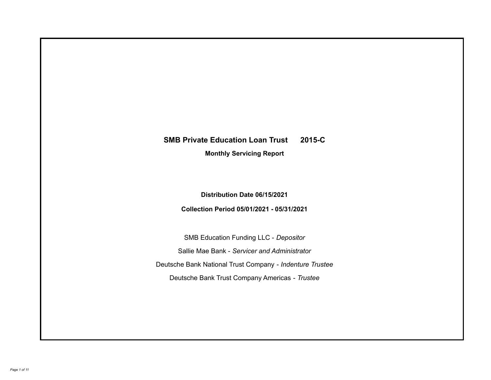# **SMB Private Education Loan Trust 2015-C**

**Monthly Servicing Report**

**Distribution Date 06/15/2021**

**Collection Period 05/01/2021 - 05/31/2021**

SMB Education Funding LLC - *Depositor* Sallie Mae Bank - *Servicer and Administrator* Deutsche Bank National Trust Company - *Indenture Trustee* Deutsche Bank Trust Company Americas - *Trustee*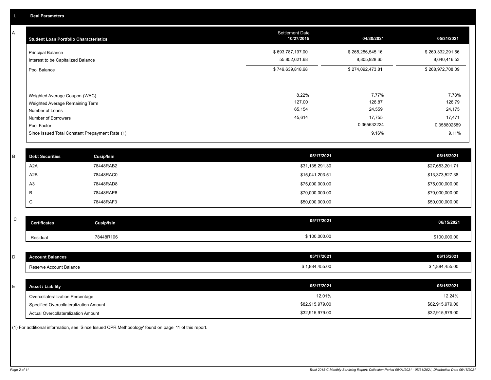A

| <b>Student Loan Portfolio Characteristics</b>   | <b>Settlement Date</b><br>10/27/2015 | 04/30/2021       | 05/31/2021       |
|-------------------------------------------------|--------------------------------------|------------------|------------------|
| <b>Principal Balance</b>                        | \$693,787,197.00                     | \$265,286,545.16 | \$260,332,291.56 |
| Interest to be Capitalized Balance              | 55,852,621.68                        | 8,805,928.65     | 8,640,416.53     |
| Pool Balance                                    | \$749,639,818.68                     | \$274,092,473.81 | \$268,972,708.09 |
| Weighted Average Coupon (WAC)                   | 8.22%                                | 7.77%            | 7.78%            |
| Weighted Average Remaining Term                 | 127.00                               | 128.87           | 128.79           |
| Number of Loans                                 | 65,154                               | 24,559           | 24,175           |
| Number of Borrowers                             | 45,614                               | 17,755           | 17,471           |
| Pool Factor                                     |                                      | 0.365632224      | 0.358802589      |
| Since Issued Total Constant Prepayment Rate (1) |                                      | 9.16%            | 9.11%            |

| <b>Debt Securities</b> | <b>Cusip/Isin</b> | 05/17/2021      | 06/15/2021      |
|------------------------|-------------------|-----------------|-----------------|
| A2A                    | 78448RAB2         | \$31,135,291.30 | \$27,683,201.71 |
| A2B                    | 78448RAC0         | \$15,041,203.51 | \$13,373,527.38 |
| A <sub>3</sub>         | 78448RAD8         | \$75,000,000.00 | \$75,000,000.00 |
|                        | 78448RAE6         | \$70,000,000.00 | \$70,000,000.00 |
| ◡                      | 78448RAF3         | \$50,000,000.00 | \$50,000,000.00 |

| $\sim$<br>ັ | <b>Certificates</b> | <b>Cusip/Isin</b> | 05/17/2021   | 06/15/2021   |
|-------------|---------------------|-------------------|--------------|--------------|
|             | Residual            | 78448R106         | \$100,000.00 | \$100,000.00 |

| D  | <b>Account Balances</b>                | 05/17/2021      | 06/15/2021      |
|----|----------------------------------------|-----------------|-----------------|
|    | Reserve Account Balance                | \$1,884,455.00  | \$1,884,455.00  |
|    |                                        |                 |                 |
| E. | <b>Asset / Liability</b>               | 05/17/2021      | 06/15/2021      |
|    | Overcollateralization Percentage       | 12.01%          | 12.24%          |
|    | Specified Overcollateralization Amount | \$82,915,979.00 | \$82,915,979.00 |
|    | Actual Overcollateralization Amount    | \$32,915,979.00 | \$32,915,979.00 |

(1) For additional information, see 'Since Issued CPR Methodology' found on page 11 of this report.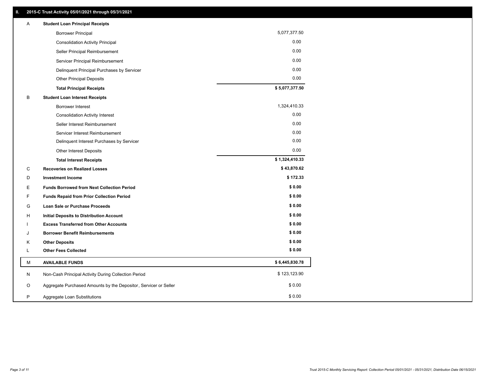| Α | <b>Student Loan Principal Receipts</b>                           |                |
|---|------------------------------------------------------------------|----------------|
|   | <b>Borrower Principal</b>                                        | 5,077,377.50   |
|   | <b>Consolidation Activity Principal</b>                          | 0.00           |
|   | Seller Principal Reimbursement                                   | 0.00           |
|   | Servicer Principal Reimbursement                                 | 0.00           |
|   | Delinquent Principal Purchases by Servicer                       | 0.00           |
|   | <b>Other Principal Deposits</b>                                  | 0.00           |
|   | <b>Total Principal Receipts</b>                                  | \$5,077,377.50 |
| B | <b>Student Loan Interest Receipts</b>                            |                |
|   | Borrower Interest                                                | 1,324,410.33   |
|   | <b>Consolidation Activity Interest</b>                           | 0.00           |
|   | Seller Interest Reimbursement                                    | 0.00           |
|   | Servicer Interest Reimbursement                                  | 0.00           |
|   | Delinquent Interest Purchases by Servicer                        | 0.00           |
|   | Other Interest Deposits                                          | 0.00           |
|   | <b>Total Interest Receipts</b>                                   | \$1,324,410.33 |
| C | <b>Recoveries on Realized Losses</b>                             | \$43,870.62    |
| D | <b>Investment Income</b>                                         | \$172.33       |
| E | <b>Funds Borrowed from Next Collection Period</b>                | \$0.00         |
| F | Funds Repaid from Prior Collection Period                        | \$0.00         |
| G | Loan Sale or Purchase Proceeds                                   | \$0.00         |
| H | Initial Deposits to Distribution Account                         | \$0.00         |
|   | <b>Excess Transferred from Other Accounts</b>                    | \$0.00         |
| J | <b>Borrower Benefit Reimbursements</b>                           | \$0.00         |
| Κ | <b>Other Deposits</b>                                            | \$0.00         |
| Г | <b>Other Fees Collected</b>                                      | \$0.00         |
| м | <b>AVAILABLE FUNDS</b>                                           | \$6,445,830.78 |
| N | Non-Cash Principal Activity During Collection Period             | \$123,123.90   |
| O | Aggregate Purchased Amounts by the Depositor, Servicer or Seller | \$0.00         |
| P | Aggregate Loan Substitutions                                     | \$0.00         |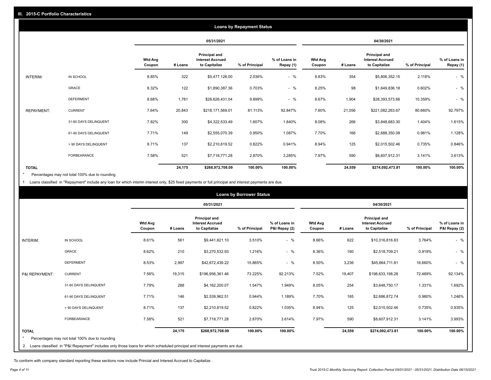|                   | <b>Loans by Repayment Status</b> |                          |         |                                                           |                |                            |                          |         |                                                           |                |                            |
|-------------------|----------------------------------|--------------------------|---------|-----------------------------------------------------------|----------------|----------------------------|--------------------------|---------|-----------------------------------------------------------|----------------|----------------------------|
|                   |                                  |                          |         | 05/31/2021                                                |                |                            | 04/30/2021               |         |                                                           |                |                            |
|                   |                                  | <b>Wtd Avg</b><br>Coupon | # Loans | Principal and<br><b>Interest Accrued</b><br>to Capitalize | % of Principal | % of Loans in<br>Repay (1) | <b>Wtd Avg</b><br>Coupon | # Loans | Principal and<br><b>Interest Accrued</b><br>to Capitalize | % of Principal | % of Loans in<br>Repay (1) |
| INTERIM:          | IN SCHOOL                        | 8.85%                    | 322     | \$5,477,126.00                                            | 2.036%         | $-$ %                      | 8.83%                    | 354     | \$5,806,352.15                                            | 2.118%         | $-$ %                      |
|                   | <b>GRACE</b>                     | 8.32%                    | 122     | \$1,890,387.36                                            | 0.703%         | $-$ %                      | 8.25%                    | 98      | \$1,649,836.18                                            | 0.602%         | $-$ %                      |
|                   | <b>DEFERMENT</b>                 | 8.68%                    | 1,781   | \$26,626,431.04                                           | 9.899%         | $-$ %                      | 8.67%                    | 1,904   | \$28,393,573.66                                           | 10.359%        | $-$ %                      |
| <b>REPAYMENT:</b> | <b>CURRENT</b>                   | 7.64%                    | 20,843  | \$218,171,569.01                                          | 81.113%        | 92.847%                    | 7.60%                    | 21,056  | \$221,082,263.67                                          | 80.660%        | 92.797%                    |
|                   | 31-60 DAYS DELINQUENT            | 7.82%                    | 300     | \$4,322,533.49                                            | 1.607%         | 1.840%                     | 8.08%                    | 266     | \$3,848,683.30                                            | 1.404%         | 1.615%                     |
|                   | 61-90 DAYS DELINQUENT            | 7.71%                    | 149     | \$2,555,070.39                                            | 0.950%         | 1.087%                     | 7.70%                    | 166     | \$2,688,350.08                                            | 0.981%         | 1.128%                     |
|                   | > 90 DAYS DELINQUENT             | 8.71%                    | 137     | \$2,210,819.52                                            | 0.822%         | 0.941%                     | 8.94%                    | 125     | \$2,015,502.46                                            | 0.735%         | 0.846%                     |
|                   | FORBEARANCE                      | 7.58%                    | 521     | \$7,718,771.28                                            | 2.870%         | 3.285%                     | 7.97%                    | 590     | \$8,607,912.31                                            | 3.141%         | 3.613%                     |
| <b>TOTAL</b>      |                                  |                          | 24,175  | \$268,972,708.09                                          | 100.00%        | 100.00%                    |                          | 24,559  | \$274,092,473.81                                          | 100.00%        | 100.00%                    |

Percentages may not total 100% due to rounding \*

1 Loans classified in "Repayment" include any loan for which interim interest only, \$25 fixed payments or full principal and interest payments are due.

| <b>Loans by Borrower Status</b> |                                                                                                                              |                          |         |                                                                  |                |                                |                          |         |                                                           |                |                                |
|---------------------------------|------------------------------------------------------------------------------------------------------------------------------|--------------------------|---------|------------------------------------------------------------------|----------------|--------------------------------|--------------------------|---------|-----------------------------------------------------------|----------------|--------------------------------|
|                                 |                                                                                                                              |                          |         | 05/31/2021                                                       |                |                                |                          |         | 04/30/2021                                                |                |                                |
|                                 |                                                                                                                              | <b>Wtd Avg</b><br>Coupon | # Loans | <b>Principal and</b><br><b>Interest Accrued</b><br>to Capitalize | % of Principal | % of Loans in<br>P&I Repay (2) | <b>Wtd Avg</b><br>Coupon | # Loans | Principal and<br><b>Interest Accrued</b><br>to Capitalize | % of Principal | % of Loans in<br>P&I Repay (2) |
| INTERIM:                        | IN SCHOOL                                                                                                                    | 8.61%                    | 561     | \$9,441,621.10                                                   | 3.510%         | $-$ %                          | 8.66%                    | 622     | \$10,316,816.83                                           | 3.764%         | $-$ %                          |
|                                 | <b>GRACE</b>                                                                                                                 | 8.62%                    | 210     | \$3,270,532.93                                                   | 1.216%         | $-$ %                          | 8.36%                    | 160     | \$2,518,709.21                                            | 0.919%         | $-$ %                          |
|                                 | <b>DEFERMENT</b>                                                                                                             | 8.53%                    | 2,997   | \$42,672,439.22                                                  | 15.865%        | $-$ %                          | 8.50%                    | 3,236   | \$45,664,711.81                                           | 16.660%        | $-$ %                          |
| P&I REPAYMENT:                  | <b>CURRENT</b>                                                                                                               | 7.56%                    | 19,315  | \$196,956,361.46                                                 | 73.225%        | 92.213%                        | 7.52%                    | 19,407  | \$198,633,198.28                                          | 72.469%        | 92.134%                        |
|                                 | 31-60 DAYS DELINQUENT                                                                                                        | 7.79%                    | 288     | \$4,162,200.07                                                   | 1.547%         | 1.949%                         | 8.05%                    | 254     | \$3,648,750.17                                            | 1.331%         | 1.692%                         |
|                                 | 61-90 DAYS DELINQUENT                                                                                                        | 7.71%                    | 146     | \$2,539,962.51                                                   | 0.944%         | 1.189%                         | 7.70%                    | 165     | \$2,686,872.74                                            | 0.980%         | 1.246%                         |
|                                 | > 90 DAYS DELINQUENT                                                                                                         | 8.71%                    | 137     | \$2,210,819.52                                                   | 0.822%         | 1.035%                         | 8.94%                    | 125     | \$2,015,502.46                                            | 0.735%         | 0.935%                         |
|                                 | <b>FORBEARANCE</b>                                                                                                           | 7.58%                    | 521     | \$7,718,771.28                                                   | 2.870%         | 3.614%                         | 7.97%                    | 590     | \$8,607,912.31                                            | 3.141%         | 3.993%                         |
| <b>TOTAL</b>                    | Percentages may not total 100% due to rounding                                                                               |                          | 24,175  | \$268,972,708.09                                                 | 100.00%        | 100.00%                        |                          | 24,559  | \$274,092,473.81                                          | 100.00%        | 100.00%                        |
|                                 | 2 Loans classified in "P&I Repayment" includes only those loans for which scheduled principal and interest payments are due. |                          |         |                                                                  |                |                                |                          |         |                                                           |                |                                |

To conform with company standard reporting these sections now include Princial and Interest Accrued to Capitalize .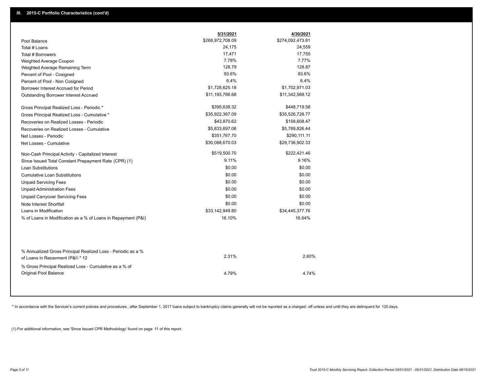|                                                                                                  | 5/31/2021        | 4/30/2021        |
|--------------------------------------------------------------------------------------------------|------------------|------------------|
| Pool Balance                                                                                     | \$268,972,708.09 | \$274,092,473.81 |
| Total # Loans                                                                                    | 24,175           | 24,559           |
| Total # Borrowers                                                                                | 17,471           | 17,755           |
| Weighted Average Coupon                                                                          | 7.78%            | 7.77%            |
| Weighted Average Remaining Term                                                                  | 128.79           | 128.87           |
| Percent of Pool - Cosigned                                                                       | 93.6%            | 93.6%            |
| Percent of Pool - Non Cosigned                                                                   | 6.4%             | 6.4%             |
| Borrower Interest Accrued for Period                                                             | \$1,728,625.18   | \$1,702,971.03   |
| Outstanding Borrower Interest Accrued                                                            | \$11,193,766.68  | \$11,342,589.12  |
| Gross Principal Realized Loss - Periodic *                                                       | \$395,638.32     | \$448,719.58     |
| Gross Principal Realized Loss - Cumulative *                                                     | \$35,922,367.09  | \$35,526,728.77  |
| Recoveries on Realized Losses - Periodic                                                         | \$43,870.62      | \$158,608.47     |
| Recoveries on Realized Losses - Cumulative                                                       | \$5,833,697.06   | \$5,789,826.44   |
| Net Losses - Periodic                                                                            | \$351,767.70     | \$290,111.11     |
| Net Losses - Cumulative                                                                          | \$30,088,670.03  | \$29,736,902.33  |
| Non-Cash Principal Activity - Capitalized Interest                                               | \$519,500.70     | \$222,421.46     |
| Since Issued Total Constant Prepayment Rate (CPR) (1)                                            | 9.11%            | 9.16%            |
| <b>Loan Substitutions</b>                                                                        | \$0.00           | \$0.00           |
| <b>Cumulative Loan Substitutions</b>                                                             | \$0.00           | \$0.00           |
| <b>Unpaid Servicing Fees</b>                                                                     | \$0.00           | \$0.00           |
| <b>Unpaid Administration Fees</b>                                                                | \$0.00           | \$0.00           |
| <b>Unpaid Carryover Servicing Fees</b>                                                           | \$0.00           | \$0.00           |
| Note Interest Shortfall                                                                          | \$0.00           | \$0.00           |
| Loans in Modification                                                                            | \$33,142,949.80  | \$34,445,377.76  |
| % of Loans in Modification as a % of Loans in Repayment (P&I)                                    | 16.10%           | 16.64%           |
|                                                                                                  |                  |                  |
| % Annualized Gross Principal Realized Loss - Periodic as a %<br>of Loans in Repayment (P&I) * 12 | 2.31%            | 2.60%            |
| % Gross Principal Realized Loss - Cumulative as a % of<br><b>Original Pool Balance</b>           | 4.79%            | 4.74%            |

\* In accordance with the Servicer's current policies and procedures, after September 1, 2017 loans subject to bankruptcy claims generally will not be reported as a charged- off unless and until they are delinquent for 120

(1) For additional information, see 'Since Issued CPR Methodology' found on page 11 of this report.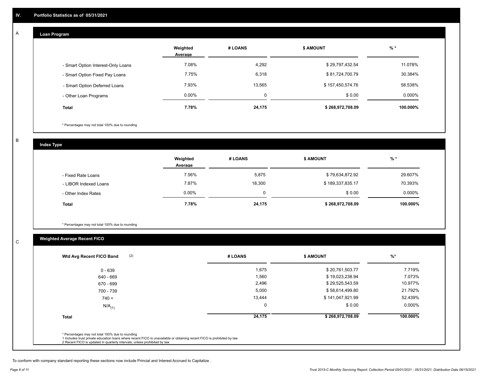# **Loan Program**

A

|                                    | Weighted<br>Average | # LOANS | <b>\$ AMOUNT</b> | $%$ *    |
|------------------------------------|---------------------|---------|------------------|----------|
| - Smart Option Interest-Only Loans | 7.08%               | 4,292   | \$29,797,432.54  | 11.078%  |
| - Smart Option Fixed Pay Loans     | 7.75%               | 6,318   | \$81,724,700.79  | 30.384%  |
| - Smart Option Deferred Loans      | 7.93%               | 13.565  | \$157,450,574.76 | 58.538%  |
| - Other Loan Programs              | $0.00\%$            | 0       | \$0.00           | 0.000%   |
| <b>Total</b>                       | 7.78%               | 24,175  | \$268,972,708.09 | 100.000% |

\* Percentages may not total 100% due to rounding

B

C

**Index Type**

|                       | Weighted<br>Average | # LOANS | <b>\$ AMOUNT</b> | % *       |
|-----------------------|---------------------|---------|------------------|-----------|
| - Fixed Rate Loans    | 7.56%               | 5,875   | \$79,634,872.92  | 29.607%   |
| - LIBOR Indexed Loans | 7.87%               | 18,300  | \$189,337,835.17 | 70.393%   |
| - Other Index Rates   | $0.00\%$            | 0       | \$0.00           | $0.000\%$ |
| <b>Total</b>          | 7.78%               | 24,175  | \$268,972,708.09 | 100.000%  |

\* Percentages may not total 100% due to rounding

# **Weighted Average Recent FICO**

| $0 - 639$            | 1,675    | \$20,761,503.77  | 7.719%    |
|----------------------|----------|------------------|-----------|
| 640 - 669            | 1,560    | \$19,023,238.94  | 7.073%    |
| 670 - 699            | 2,496    | \$29,525,543.59  | 10.977%   |
| 700 - 739            | 5,000    | \$58,614,499.80  | 21.792%   |
| $740 +$              | 13,444   | \$141,047,921.99 | 52.439%   |
| $N/A$ <sub>(1)</sub> | $\Omega$ | \$0.00           | $0.000\%$ |
| <b>Total</b>         | 24,175   | \$268,972,708.09 | 100.000%  |
|                      |          |                  |           |

To conform with company standard reporting these sections now include Princial and Interest Accrued to Capitalize .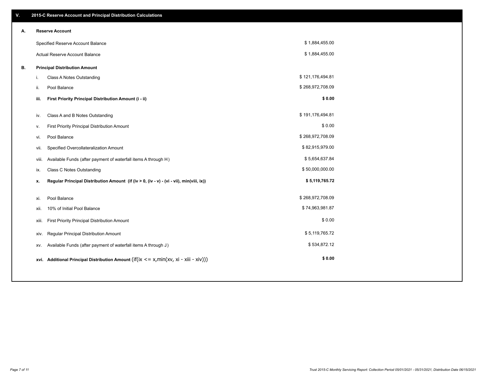| V. |       | 2015-C Reserve Account and Principal Distribution Calculations                            |                  |  |
|----|-------|-------------------------------------------------------------------------------------------|------------------|--|
| А. |       | <b>Reserve Account</b>                                                                    |                  |  |
|    |       | Specified Reserve Account Balance                                                         | \$1,884,455.00   |  |
|    |       | Actual Reserve Account Balance                                                            | \$1,884,455.00   |  |
| В. |       | <b>Principal Distribution Amount</b>                                                      |                  |  |
|    | j.    | Class A Notes Outstanding                                                                 | \$121,176,494.81 |  |
|    | ii.   | Pool Balance                                                                              | \$268,972,708.09 |  |
|    | iii.  | First Priority Principal Distribution Amount (i - ii)                                     | \$0.00           |  |
|    |       |                                                                                           |                  |  |
|    | iv.   | Class A and B Notes Outstanding                                                           | \$191,176,494.81 |  |
|    | ٧.    | First Priority Principal Distribution Amount                                              | \$0.00           |  |
|    | vi.   | Pool Balance                                                                              | \$268,972,708.09 |  |
|    | vii.  | Specified Overcollateralization Amount                                                    | \$82,915,979.00  |  |
|    | viii. | Available Funds (after payment of waterfall items A through H)                            | \$5,654,637.84   |  |
|    | ix.   | <b>Class C Notes Outstanding</b>                                                          | \$50,000,000.00  |  |
|    | x.    | Regular Principal Distribution Amount (if (iv > 0, (iv - v) - (vi - vii), min(viii, ix))  | \$5,119,765.72   |  |
|    |       |                                                                                           |                  |  |
|    | xi.   | Pool Balance                                                                              | \$268,972,708.09 |  |
|    | xii.  | 10% of Initial Pool Balance                                                               | \$74,963,981.87  |  |
|    | xiii. | First Priority Principal Distribution Amount                                              | \$0.00           |  |
|    | xiv.  | Regular Principal Distribution Amount                                                     | \$5,119,765.72   |  |
|    | XV.   | Available Funds (after payment of waterfall items A through J)                            | \$534,872.12     |  |
|    |       | xvi. Additional Principal Distribution Amount (if(ix $\leq$ x, min(xv, xi - xiii - xiv))) | \$0.00           |  |
|    |       |                                                                                           |                  |  |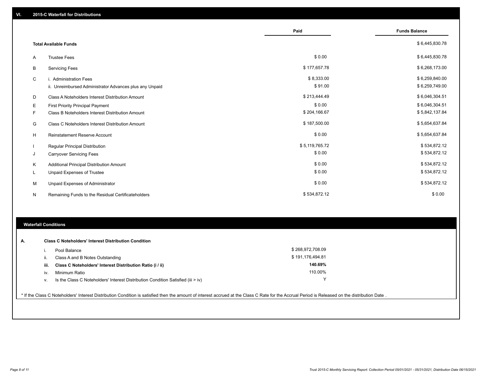|    |                                                         | Paid           | <b>Funds Balance</b> |
|----|---------------------------------------------------------|----------------|----------------------|
|    | <b>Total Available Funds</b>                            |                | \$6,445,830.78       |
| A  | <b>Trustee Fees</b>                                     | \$0.00         | \$6,445,830.78       |
| В  | <b>Servicing Fees</b>                                   | \$177,657.78   | \$6,268,173.00       |
| C  | i. Administration Fees                                  | \$8,333.00     | \$6,259,840.00       |
|    | ii. Unreimbursed Administrator Advances plus any Unpaid | \$91.00        | \$6,259,749.00       |
| D  | Class A Noteholders Interest Distribution Amount        | \$213,444.49   | \$6,046,304.51       |
| Е  | <b>First Priority Principal Payment</b>                 | \$0.00         | \$6,046,304.51       |
| F. | Class B Noteholders Interest Distribution Amount        | \$204,166.67   | \$5,842,137.84       |
| G  | Class C Noteholders Interest Distribution Amount        | \$187,500.00   | \$5,654,637.84       |
| н  | <b>Reinstatement Reserve Account</b>                    | \$0.00         | \$5,654,637.84       |
|    | Regular Principal Distribution                          | \$5,119,765.72 | \$534,872.12         |
| J  | <b>Carryover Servicing Fees</b>                         | \$0.00         | \$534,872.12         |
| Κ  | Additional Principal Distribution Amount                | \$0.00         | \$534,872.12         |
| L  | Unpaid Expenses of Trustee                              | \$0.00         | \$534,872.12         |
| M  | Unpaid Expenses of Administrator                        | \$0.00         | \$534,872.12         |
| N  | Remaining Funds to the Residual Certificateholders      | \$534,872.12   | \$0.00               |

## **Waterfall Conditions**

| А. | <b>Class C Noteholders' Interest Distribution Condition</b> |                                                                                  |                  |  |  |
|----|-------------------------------------------------------------|----------------------------------------------------------------------------------|------------------|--|--|
|    |                                                             | Pool Balance                                                                     | \$268,972,708.09 |  |  |
|    | H.                                                          | Class A and B Notes Outstanding                                                  | \$191,176,494.81 |  |  |
|    | iii.                                                        | Class C Noteholders' Interest Distribution Ratio (i / ii)                        | 140.69%          |  |  |
|    | IV.                                                         | Minimum Ratio                                                                    | 110.00%          |  |  |
|    | ν.                                                          | Is the Class C Noteholders' Interest Distribution Condition Satisfied (iii > iv) | $\checkmark$     |  |  |

\* If the Class C Noteholders' Interest Distribution Condition is satisfied then the amount of interest accrued at the Class C Rate for the Accrual Period is Released on the distribution Date .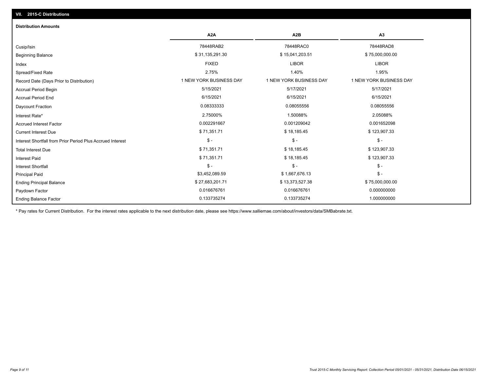| <b>Distribution Amounts</b>                                |                         |                         |                         |
|------------------------------------------------------------|-------------------------|-------------------------|-------------------------|
|                                                            | A <sub>2</sub> A        | A <sub>2</sub> B        | A3                      |
| Cusip/Isin                                                 | 78448RAB2               | 78448RAC0               | 78448RAD8               |
| <b>Beginning Balance</b>                                   | \$31,135,291.30         | \$15,041,203.51         | \$75,000,000.00         |
| Index                                                      | <b>FIXED</b>            | <b>LIBOR</b>            | <b>LIBOR</b>            |
| Spread/Fixed Rate                                          | 2.75%                   | 1.40%                   | 1.95%                   |
| Record Date (Days Prior to Distribution)                   | 1 NEW YORK BUSINESS DAY | 1 NEW YORK BUSINESS DAY | 1 NEW YORK BUSINESS DAY |
| <b>Accrual Period Begin</b>                                | 5/15/2021               | 5/17/2021               | 5/17/2021               |
| <b>Accrual Period End</b>                                  | 6/15/2021               | 6/15/2021               | 6/15/2021               |
| Daycount Fraction                                          | 0.08333333              | 0.08055556              | 0.08055556              |
| Interest Rate*                                             | 2.75000%                | 1.50088%                | 2.05088%                |
| <b>Accrued Interest Factor</b>                             | 0.002291667             | 0.001209042             | 0.001652098             |
| <b>Current Interest Due</b>                                | \$71,351.71             | \$18,185.45             | \$123,907.33            |
| Interest Shortfall from Prior Period Plus Accrued Interest | $\mathcal{S}$ -         | $\frac{2}{3}$ -         | $\frac{1}{2}$           |
| <b>Total Interest Due</b>                                  | \$71,351.71             | \$18,185.45             | \$123,907.33            |
| <b>Interest Paid</b>                                       | \$71,351.71             | \$18,185.45             | \$123,907.33            |
| <b>Interest Shortfall</b>                                  | $\mathcal{S}$ -         | $$ -$                   | $\mathcal{S}$ -         |
| <b>Principal Paid</b>                                      | \$3,452,089.59          | \$1,667,676.13          | $\frac{1}{2}$           |
| <b>Ending Principal Balance</b>                            | \$27,683,201.71         | \$13,373,527.38         | \$75,000,000.00         |
| Paydown Factor                                             | 0.016676761             | 0.016676761             | 0.000000000             |
| <b>Ending Balance Factor</b>                               | 0.133735274             | 0.133735274             | 1.000000000             |

\* Pay rates for Current Distribution. For the interest rates applicable to the next distribution date, please see https://www.salliemae.com/about/investors/data/SMBabrate.txt.

**VII. 2015-C Distributions**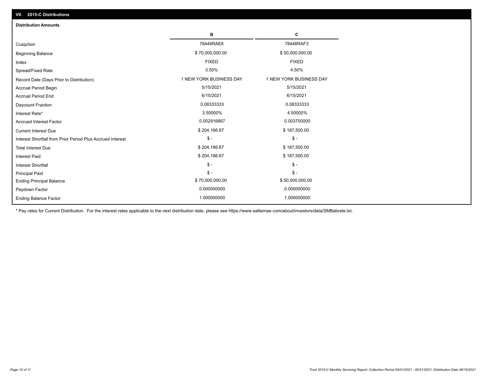| VII. 2015-C Distributions                                  |                         |                         |  |  |  |
|------------------------------------------------------------|-------------------------|-------------------------|--|--|--|
| <b>Distribution Amounts</b>                                |                         |                         |  |  |  |
|                                                            | в                       | С                       |  |  |  |
| Cusip/Isin                                                 | 78448RAE6               | 78448RAF3               |  |  |  |
| <b>Beginning Balance</b>                                   | \$70,000,000.00         | \$50,000,000.00         |  |  |  |
| Index                                                      | <b>FIXED</b>            | <b>FIXED</b>            |  |  |  |
| Spread/Fixed Rate                                          | 3.50%                   | 4.50%                   |  |  |  |
| Record Date (Days Prior to Distribution)                   | 1 NEW YORK BUSINESS DAY | 1 NEW YORK BUSINESS DAY |  |  |  |
| Accrual Period Begin                                       | 5/15/2021               | 5/15/2021               |  |  |  |
| <b>Accrual Period End</b>                                  | 6/15/2021               | 6/15/2021               |  |  |  |
| Daycount Fraction                                          | 0.08333333              | 0.08333333              |  |  |  |
| Interest Rate*                                             | 3.50000%                | 4.50000%                |  |  |  |
| <b>Accrued Interest Factor</b>                             | 0.002916667             | 0.003750000             |  |  |  |
| <b>Current Interest Due</b>                                | \$204,166.67            | \$187,500.00            |  |  |  |
| Interest Shortfall from Prior Period Plus Accrued Interest | $\mathcal{S}$ -         | $\mathsf{\$}$ -         |  |  |  |
| <b>Total Interest Due</b>                                  | \$204,166.67            | \$187,500.00            |  |  |  |
| <b>Interest Paid</b>                                       | \$204,166.67            | \$187,500.00            |  |  |  |
| Interest Shortfall                                         | $\frac{1}{2}$           | $\mathsf{\$}$ -         |  |  |  |
| <b>Principal Paid</b>                                      | $$ -$                   | $\mathsf{\$}$ -         |  |  |  |
| <b>Ending Principal Balance</b>                            | \$70,000,000.00         | \$50,000,000.00         |  |  |  |
| Paydown Factor                                             | 0.000000000             | 0.000000000             |  |  |  |
| <b>Ending Balance Factor</b>                               | 1.000000000             | 1.000000000             |  |  |  |

\* Pay rates for Current Distribution. For the interest rates applicable to the next distribution date, please see https://www.salliemae.com/about/investors/data/SMBabrate.txt.